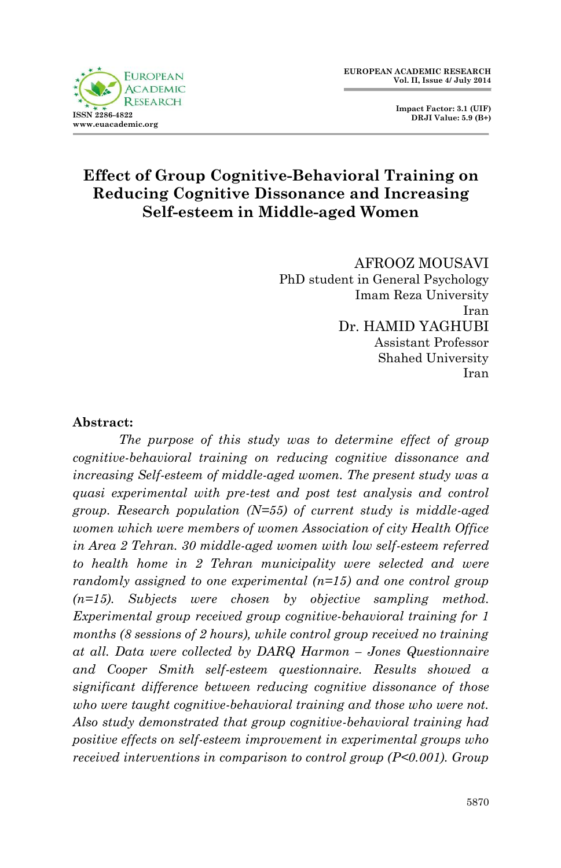

 **Impact Factor: 3.1 (UIF) DRJI Value: 5.9 (B+)**

### **Effect of Group Cognitive-Behavioral Training on Reducing Cognitive Dissonance and Increasing Self-esteem in Middle-aged Women**

AFROOZ MOUSAVI PhD student in General Psychology Imam Reza University Iran Dr. HAMID YAGHUBI Assistant Professor Shahed University Iran

#### **Abstract:**

*The purpose of this study was to determine effect of group cognitive-behavioral training on reducing cognitive dissonance and increasing Self-esteem of middle-aged women. The present study was a quasi experimental with pre-test and post test analysis and control group. Research population (N=55) of current study is middle-aged women which were members of women Association of city Health Office in Area 2 Tehran. 30 middle-aged women with low self-esteem referred to health home in 2 Tehran municipality were selected and were randomly assigned to one experimental (n=15) and one control group (n=15). Subjects were chosen by objective sampling method. Experimental group received group cognitive-behavioral training for 1 months (8 sessions of 2 hours), while control group received no training at all. Data were collected by DARQ Harmon – Jones Questionnaire and Cooper Smith self-esteem questionnaire. Results showed a significant difference between reducing cognitive dissonance of those who were taught cognitive-behavioral training and those who were not. Also study demonstrated that group cognitive-behavioral training had positive effects on self-esteem improvement in experimental groups who received interventions in comparison to control group (P<0.001). Group*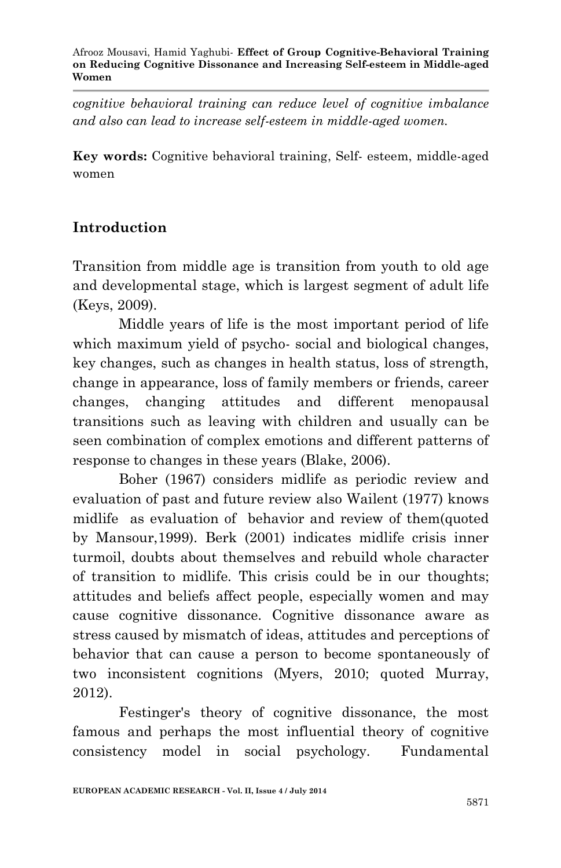*cognitive behavioral training can reduce level of cognitive imbalance and also can lead to increase self-esteem in middle-aged women.*

**Key words:** Cognitive behavioral training, Self- esteem, middle-aged women

# **Introduction**

Transition from middle age is transition from youth to old age and developmental stage, which is largest segment of adult life (Keys, 2009).

Middle years of life is the most important period of life which maximum yield of psycho- social and biological changes, key changes, such as changes in health status, loss of strength, change in appearance, loss of family members or friends, career changes, changing attitudes and different menopausal transitions such as leaving with children and usually can be seen combination of complex emotions and different patterns of response to changes in these years (Blake, 2006).

Boher (1967) considers midlife as periodic review and evaluation of past and future review also Wailent (1977) knows midlife as evaluation of behavior and review of them(quoted by Mansour,1999). Berk (2001) indicates midlife crisis inner turmoil, doubts about themselves and rebuild whole character of transition to midlife. This crisis could be in our thoughts; attitudes and beliefs affect people, especially women and may cause cognitive dissonance. Cognitive dissonance aware as stress caused by mismatch of ideas, attitudes and perceptions of behavior that can cause a person to become spontaneously of two inconsistent cognitions (Myers, 2010; quoted Murray, 2012).

Festinger's theory of cognitive dissonance, the most famous and perhaps the most influential theory of cognitive consistency model in social psychology. Fundamental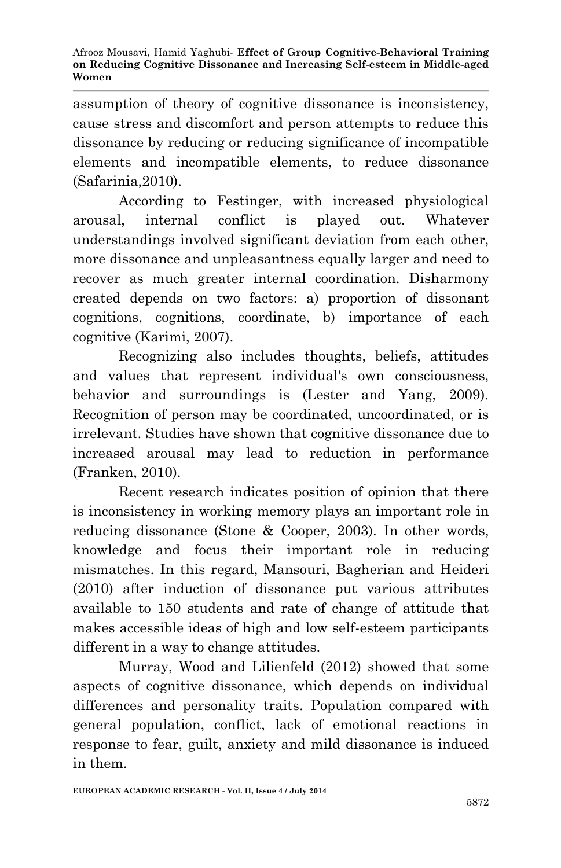assumption of theory of cognitive dissonance is inconsistency, cause stress and discomfort and person attempts to reduce this dissonance by reducing or reducing significance of incompatible elements and incompatible elements, to reduce dissonance (Safarinia,2010).

According to Festinger, with increased physiological arousal, internal conflict is played out. Whatever understandings involved significant deviation from each other, more dissonance and unpleasantness equally larger and need to recover as much greater internal coordination. Disharmony created depends on two factors: a) proportion of dissonant cognitions, cognitions, coordinate, b) importance of each cognitive (Karimi, 2007).

Recognizing also includes thoughts, beliefs, attitudes and values that represent individual's own consciousness, behavior and surroundings is (Lester and Yang, 2009). Recognition of person may be coordinated, uncoordinated, or is irrelevant. Studies have shown that cognitive dissonance due to increased arousal may lead to reduction in performance (Franken, 2010).

Recent research indicates position of opinion that there is inconsistency in working memory plays an important role in reducing dissonance (Stone & Cooper, 2003). In other words, knowledge and focus their important role in reducing mismatches. In this regard, Mansouri, Bagherian and Heideri (2010) after induction of dissonance put various attributes available to 150 students and rate of change of attitude that makes accessible ideas of high and low self-esteem participants different in a way to change attitudes.

Murray, Wood and Lilienfeld (2012) showed that some aspects of cognitive dissonance, which depends on individual differences and personality traits. Population compared with general population, conflict, lack of emotional reactions in response to fear, guilt, anxiety and mild dissonance is induced in them.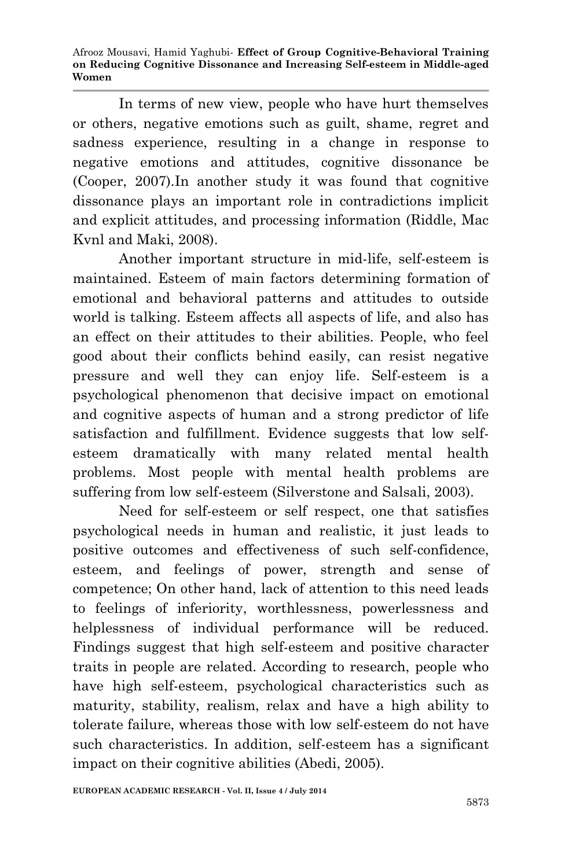In terms of new view, people who have hurt themselves or others, negative emotions such as guilt, shame, regret and sadness experience, resulting in a change in response to negative emotions and attitudes, cognitive dissonance be (Cooper, 2007).In another study it was found that cognitive dissonance plays an important role in contradictions implicit and explicit attitudes, and processing information (Riddle, Mac Kvnl and Maki, 2008).

Another important structure in mid-life, self-esteem is maintained. Esteem of main factors determining formation of emotional and behavioral patterns and attitudes to outside world is talking. Esteem affects all aspects of life, and also has an effect on their attitudes to their abilities. People, who feel good about their conflicts behind easily, can resist negative pressure and well they can enjoy life. Self-esteem is a psychological phenomenon that decisive impact on emotional and cognitive aspects of human and a strong predictor of life satisfaction and fulfillment. Evidence suggests that low selfesteem dramatically with many related mental health problems. Most people with mental health problems are suffering from low self-esteem (Silverstone and Salsali, 2003).

Need for self-esteem or self respect, one that satisfies psychological needs in human and realistic, it just leads to positive outcomes and effectiveness of such self-confidence, esteem, and feelings of power, strength and sense of competence; On other hand, lack of attention to this need leads to feelings of inferiority, worthlessness, powerlessness and helplessness of individual performance will be reduced. Findings suggest that high self-esteem and positive character traits in people are related. According to research, people who have high self-esteem, psychological characteristics such as maturity, stability, realism, relax and have a high ability to tolerate failure, whereas those with low self-esteem do not have such characteristics. In addition, self-esteem has a significant impact on their cognitive abilities (Abedi, 2005).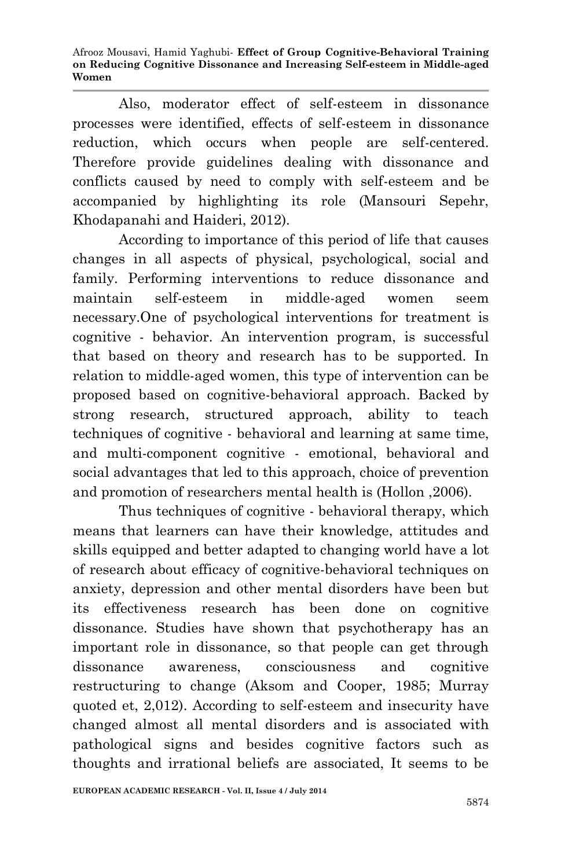Also, moderator effect of self-esteem in dissonance processes were identified, effects of self-esteem in dissonance reduction, which occurs when people are self-centered. Therefore provide guidelines dealing with dissonance and conflicts caused by need to comply with self-esteem and be accompanied by highlighting its role (Mansouri Sepehr, Khodapanahi and Haideri, 2012).

According to importance of this period of life that causes changes in all aspects of physical, psychological, social and family. Performing interventions to reduce dissonance and maintain self-esteem in middle-aged women seem necessary.One of psychological interventions for treatment is cognitive - behavior. An intervention program, is successful that based on theory and research has to be supported. In relation to middle-aged women, this type of intervention can be proposed based on cognitive-behavioral approach. Backed by strong research, structured approach, ability to teach techniques of cognitive - behavioral and learning at same time, and multi-component cognitive - emotional, behavioral and social advantages that led to this approach, choice of prevention and promotion of researchers mental health is (Hollon ,2006).

Thus techniques of cognitive - behavioral therapy, which means that learners can have their knowledge, attitudes and skills equipped and better adapted to changing world have a lot of research about efficacy of cognitive-behavioral techniques on anxiety, depression and other mental disorders have been but its effectiveness research has been done on cognitive dissonance. Studies have shown that psychotherapy has an important role in dissonance, so that people can get through dissonance awareness, consciousness and cognitive restructuring to change (Aksom and Cooper, 1985; Murray quoted et, 2,012). According to self-esteem and insecurity have changed almost all mental disorders and is associated with pathological signs and besides cognitive factors such as thoughts and irrational beliefs are associated, It seems to be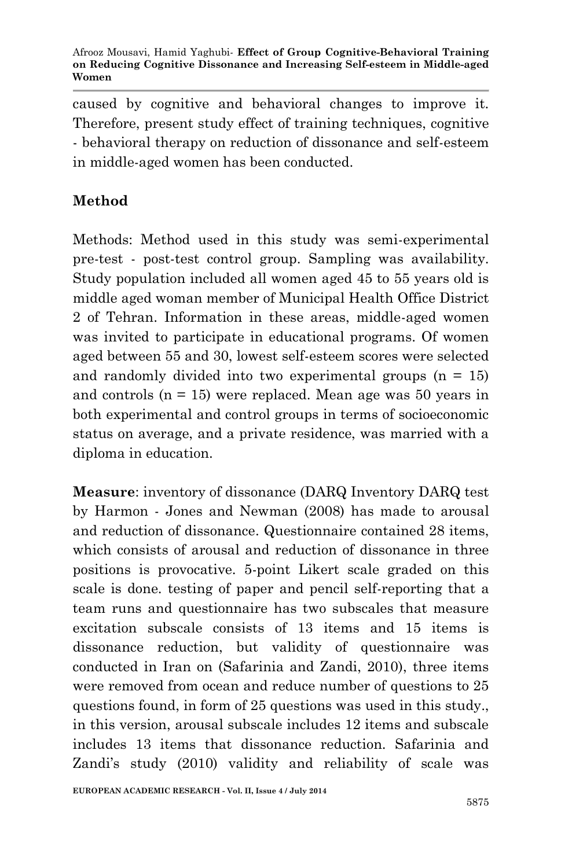caused by cognitive and behavioral changes to improve it. Therefore, present study effect of training techniques, cognitive - behavioral therapy on reduction of dissonance and self-esteem in middle-aged women has been conducted.

# **Method**

Methods: Method used in this study was semi-experimental pre-test - post-test control group. Sampling was availability. Study population included all women aged 45 to 55 years old is middle aged woman member of Municipal Health Office District 2 of Tehran. Information in these areas, middle-aged women was invited to participate in educational programs. Of women aged between 55 and 30, lowest self-esteem scores were selected and randomly divided into two experimental groups  $(n = 15)$ and controls (n = 15) were replaced. Mean age was 50 years in both experimental and control groups in terms of socioeconomic status on average, and a private residence, was married with a diploma in education.

**Measure**: inventory of dissonance (DARQ Inventory DARQ test by Harmon - Jones and Newman (2008) has made to arousal and reduction of dissonance. Questionnaire contained 28 items, which consists of arousal and reduction of dissonance in three positions is provocative. 5-point Likert scale graded on this scale is done. testing of paper and pencil self-reporting that a team runs and questionnaire has two subscales that measure excitation subscale consists of 13 items and 15 items is dissonance reduction, but validity of questionnaire was conducted in Iran on (Safarinia and Zandi, 2010), three items were removed from ocean and reduce number of questions to 25 questions found, in form of 25 questions was used in this study., in this version, arousal subscale includes 12 items and subscale includes 13 items that dissonance reduction. Safarinia and Zandi's study (2010) validity and reliability of scale was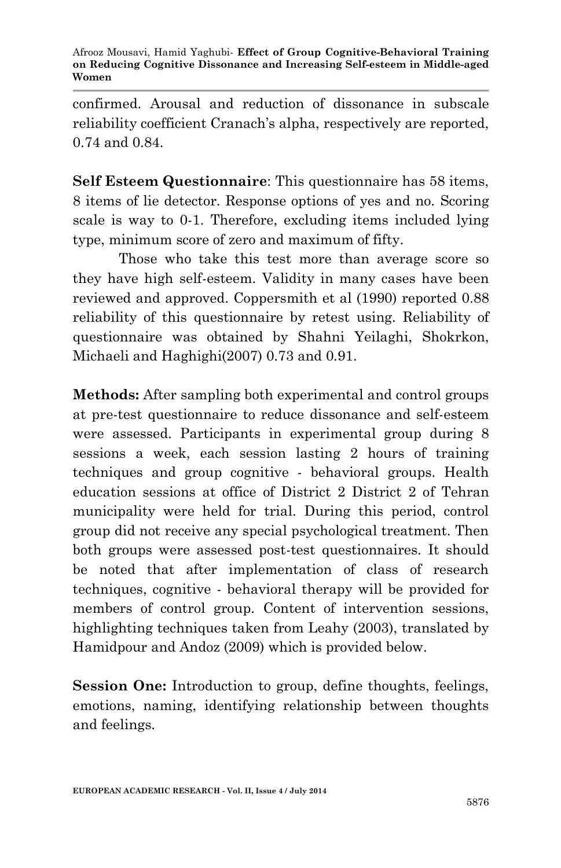confirmed. Arousal and reduction of dissonance in subscale reliability coefficient Cranach's alpha, respectively are reported, 0.74 and 0.84.

**Self Esteem Questionnaire**: This questionnaire has 58 items, 8 items of lie detector. Response options of yes and no. Scoring scale is way to 0-1. Therefore, excluding items included lying type, minimum score of zero and maximum of fifty.

Those who take this test more than average score so they have high self-esteem. Validity in many cases have been reviewed and approved. Coppersmith et al (1990) reported 0.88 reliability of this questionnaire by retest using. Reliability of questionnaire was obtained by Shahni Yeilaghi, Shokrkon, Michaeli and Haghighi(2007) 0.73 and 0.91.

**Methods:** After sampling both experimental and control groups at pre-test questionnaire to reduce dissonance and self-esteem were assessed. Participants in experimental group during 8 sessions a week, each session lasting 2 hours of training techniques and group cognitive - behavioral groups. Health education sessions at office of District 2 District 2 of Tehran municipality were held for trial. During this period, control group did not receive any special psychological treatment. Then both groups were assessed post-test questionnaires. It should be noted that after implementation of class of research techniques, cognitive - behavioral therapy will be provided for members of control group. Content of intervention sessions, highlighting techniques taken from Leahy (2003), translated by Hamidpour and Andoz (2009) which is provided below.

**Session One:** Introduction to group, define thoughts, feelings, emotions, naming, identifying relationship between thoughts and feelings.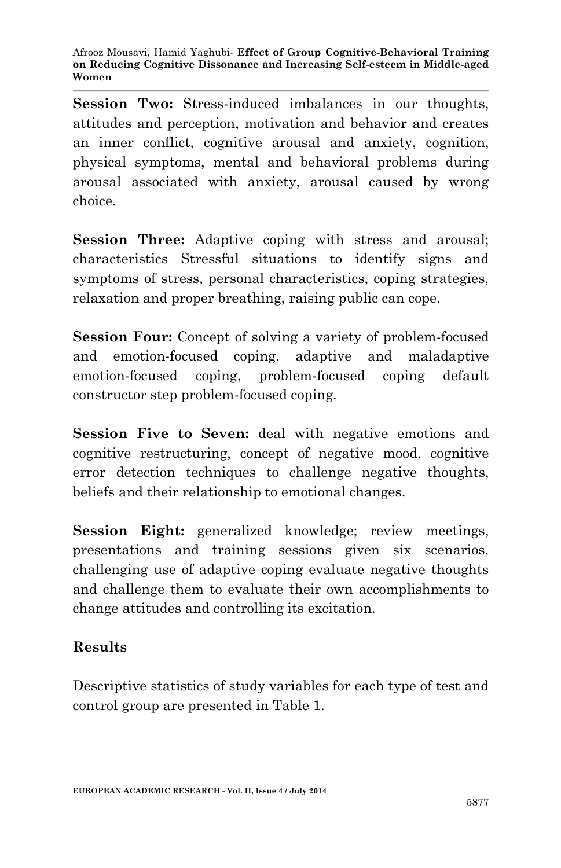**Session Two:** Stress-induced imbalances in our thoughts, attitudes and perception, motivation and behavior and creates an inner conflict, cognitive arousal and anxiety, cognition, physical symptoms, mental and behavioral problems during arousal associated with anxiety, arousal caused by wrong choice.

**Session Three:** Adaptive coping with stress and arousal; characteristics Stressful situations to identify signs and symptoms of stress, personal characteristics, coping strategies, relaxation and proper breathing, raising public can cope.

**Session Four:** Concept of solving a variety of problem-focused and emotion-focused coping, adaptive and maladaptive emotion-focused coping, problem-focused coping default constructor step problem-focused coping.

**Session Five to Seven:** deal with negative emotions and cognitive restructuring, concept of negative mood, cognitive error detection techniques to challenge negative thoughts, beliefs and their relationship to emotional changes.

**Session Eight:** generalized knowledge; review meetings, presentations and training sessions given six scenarios, challenging use of adaptive coping evaluate negative thoughts and challenge them to evaluate their own accomplishments to change attitudes and controlling its excitation.

## **Results**

Descriptive statistics of study variables for each type of test and control group are presented in Table 1.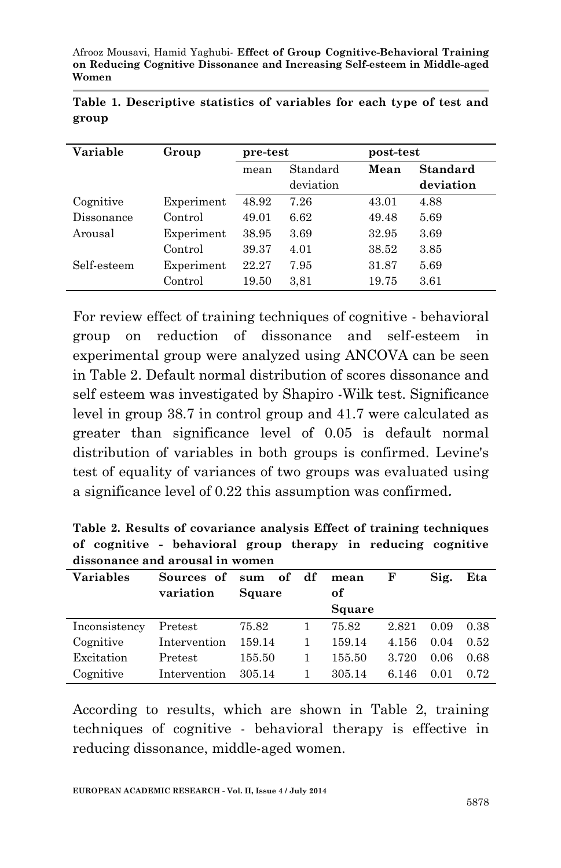| Variable    | Group      | pre-test |           | post-test |                 |  |  |
|-------------|------------|----------|-----------|-----------|-----------------|--|--|
|             |            | mean     | Standard  |           | <b>Standard</b> |  |  |
|             |            |          | deviation |           | deviation       |  |  |
| Cognitive   | Experiment | 48.92    | 7.26      | 43.01     | 4.88            |  |  |
| Dissonance  | Control    | 49.01    | 6.62      | 49.48     | 5.69            |  |  |
| Arousal     | Experiment | 38.95    | 3.69      | 32.95     | 3.69            |  |  |
|             | Control    | 39.37    | 4.01      | 38.52     | 3.85            |  |  |
| Self-esteem | Experiment | 22.27    | 7.95      | 31.87     | 5.69            |  |  |
|             | Control    | 19.50    | 3,81      | 19.75     | 3.61            |  |  |

|       | Table 1. Descriptive statistics of variables for each type of test and |  |  |  |  |  |
|-------|------------------------------------------------------------------------|--|--|--|--|--|
| group |                                                                        |  |  |  |  |  |

For review effect of training techniques of cognitive - behavioral group on reduction of dissonance and self-esteem in experimental group were analyzed using ANCOVA can be seen in Table 2. Default normal distribution of scores dissonance and self esteem was investigated by Shapiro -Wilk test. Significance level in group 38.7 in control group and 41.7 were calculated as greater than significance level of 0.05 is default normal distribution of variables in both groups is confirmed. Levine's test of equality of variances of two groups was evaluated using a significance level of 0.22 this assumption was confirmed**.**

**Table 2. Results of covariance analysis Effect of training techniques of cognitive - behavioral group therapy in reducing cognitive dissonance and arousal in women**

| <b>Variables</b> | Sources of<br>variation | sum of df<br>Square | mean<br>оf | F     | Sig. | Eta  |
|------------------|-------------------------|---------------------|------------|-------|------|------|
|                  |                         |                     | Square     |       |      |      |
| Inconsistency    | Pretest                 | 75.82               | 75.82      | 2.821 | 0.09 | 0.38 |
| Cognitive        | Intervention            | 159.14              | 159.14     | 4.156 | 0.04 | 0.52 |
| Excitation       | Pretest                 | 155.50              | 155.50     | 3.720 | 0.06 | 0.68 |
| Cognitive        | Intervention            | 305.14              | 305.14     | 6.146 | 0.01 | 0.72 |

According to results, which are shown in Table 2, training techniques of cognitive - behavioral therapy is effective in reducing dissonance, middle-aged women.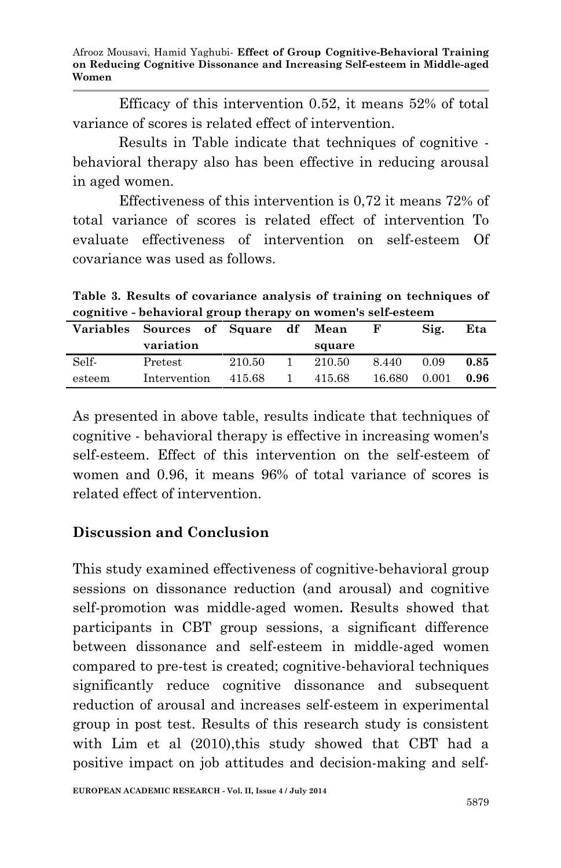Efficacy of this intervention 0.52, it means 52% of total variance of scores is related effect of intervention.

Results in Table indicate that techniques of cognitive behavioral therapy also has been effective in reducing arousal in aged women.

Effectiveness of this intervention is 0,72 it means 72% of total variance of scores is related effect of intervention To evaluate effectiveness of intervention on self-esteem Of covariance was used as follows.

**Table 3. Results of covariance analysis of training on techniques of cognitive - behavioral group therapy on women's self-esteem**

|        | Variables Sources of Square df |        | Mean   |        | Sig.  | Eta  |
|--------|--------------------------------|--------|--------|--------|-------|------|
|        | variation                      |        | square |        |       |      |
| Self-  | Pretest                        | 210.50 | 210.50 | 8.440  | 0.09  | 0.85 |
| esteem | Intervention                   | 415.68 | 415.68 | 16.680 | 0.001 | 0.96 |

As presented in above table, results indicate that techniques of cognitive - behavioral therapy is effective in increasing women's self-esteem. Effect of this intervention on the self-esteem of women and 0.96, it means 96% of total variance of scores is related effect of intervention.

### **Discussion and Conclusion**

This study examined effectiveness of cognitive-behavioral group sessions on dissonance reduction (and arousal) and cognitive self-promotion was middle-aged women**.** Results showed that participants in CBT group sessions, a significant difference between dissonance and self-esteem in middle-aged women compared to pre-test is created; cognitive-behavioral techniques significantly reduce cognitive dissonance and subsequent reduction of arousal and increases self-esteem in experimental group in post test. Results of this research study is consistent with Lim et al (2010),this study showed that CBT had a positive impact on job attitudes and decision-making and self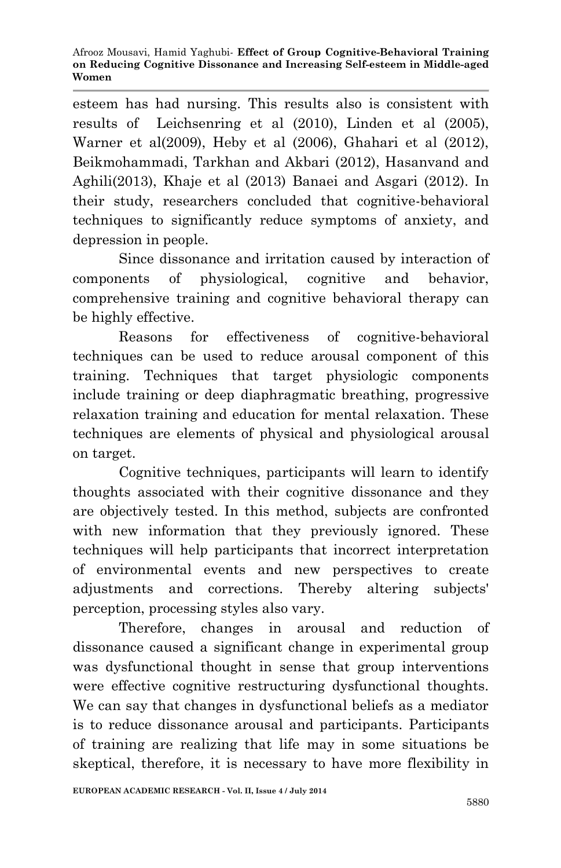esteem has had nursing. This results also is consistent with results of Leichsenring et al (2010), Linden et al (2005), Warner et al(2009), Heby et al (2006), Ghahari et al (2012), Beikmohammadi, Tarkhan and Akbari (2012), Hasanvand and Aghili(2013), Khaje et al (2013) Banaei and Asgari (2012). In their study, researchers concluded that cognitive-behavioral techniques to significantly reduce symptoms of anxiety, and depression in people.

Since dissonance and irritation caused by interaction of components of physiological, cognitive and behavior, comprehensive training and cognitive behavioral therapy can be highly effective.

Reasons for effectiveness of cognitive-behavioral techniques can be used to reduce arousal component of this training. Techniques that target physiologic components include training or deep diaphragmatic breathing, progressive relaxation training and education for mental relaxation. These techniques are elements of physical and physiological arousal on target.

Cognitive techniques, participants will learn to identify thoughts associated with their cognitive dissonance and they are objectively tested. In this method, subjects are confronted with new information that they previously ignored. These techniques will help participants that incorrect interpretation of environmental events and new perspectives to create adjustments and corrections. Thereby altering subjects' perception, processing styles also vary.

Therefore, changes in arousal and reduction of dissonance caused a significant change in experimental group was dysfunctional thought in sense that group interventions were effective cognitive restructuring dysfunctional thoughts. We can say that changes in dysfunctional beliefs as a mediator is to reduce dissonance arousal and participants. Participants of training are realizing that life may in some situations be skeptical, therefore, it is necessary to have more flexibility in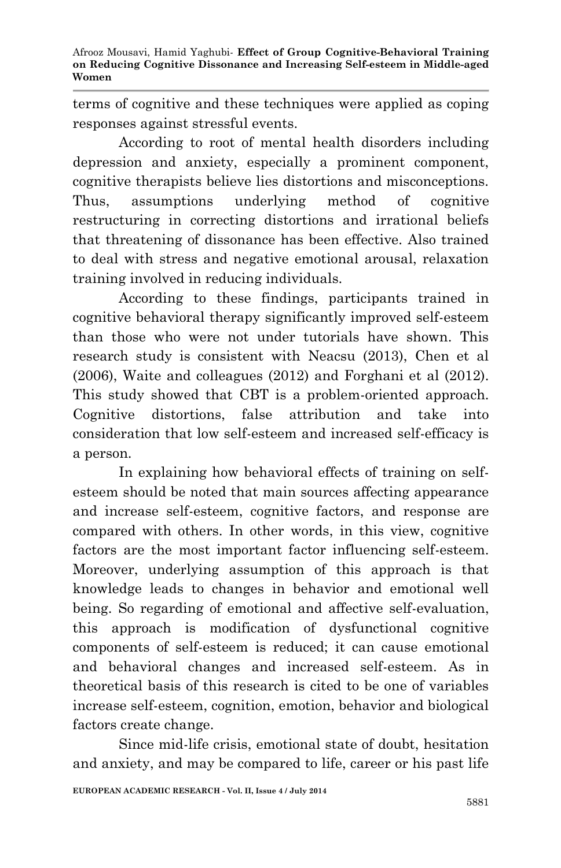terms of cognitive and these techniques were applied as coping responses against stressful events.

According to root of mental health disorders including depression and anxiety, especially a prominent component, cognitive therapists believe lies distortions and misconceptions. Thus, assumptions underlying method of cognitive restructuring in correcting distortions and irrational beliefs that threatening of dissonance has been effective. Also trained to deal with stress and negative emotional arousal, relaxation training involved in reducing individuals.

According to these findings, participants trained in cognitive behavioral therapy significantly improved self-esteem than those who were not under tutorials have shown. This research study is consistent with Neacsu (2013), Chen et al (2006), Waite and colleagues (2012) and Forghani et al (2012). This study showed that CBT is a problem-oriented approach. Cognitive distortions, false attribution and take into consideration that low self-esteem and increased self-efficacy is a person.

In explaining how behavioral effects of training on selfesteem should be noted that main sources affecting appearance and increase self-esteem, cognitive factors, and response are compared with others. In other words, in this view, cognitive factors are the most important factor influencing self-esteem. Moreover, underlying assumption of this approach is that knowledge leads to changes in behavior and emotional well being. So regarding of emotional and affective self-evaluation, this approach is modification of dysfunctional cognitive components of self-esteem is reduced; it can cause emotional and behavioral changes and increased self-esteem. As in theoretical basis of this research is cited to be one of variables increase self-esteem, cognition, emotion, behavior and biological factors create change.

Since mid-life crisis, emotional state of doubt, hesitation and anxiety, and may be compared to life, career or his past life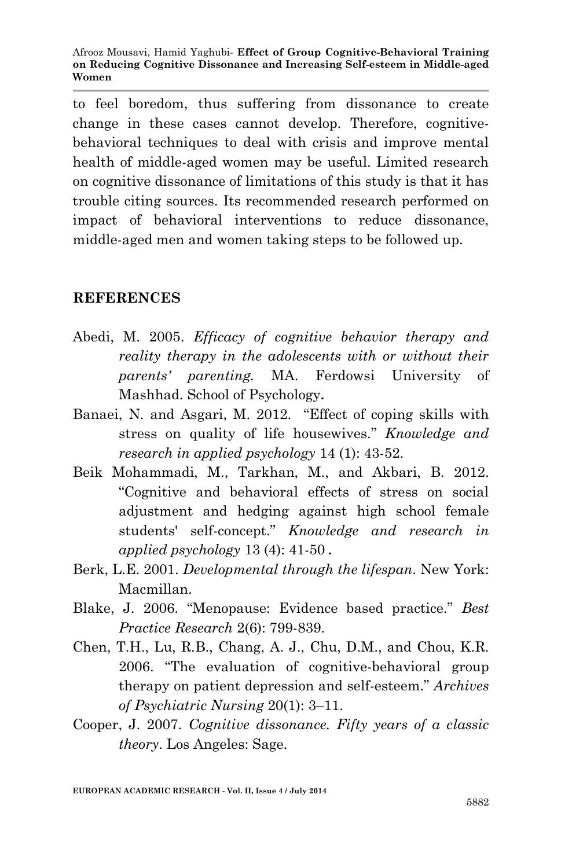to feel boredom, thus suffering from dissonance to create change in these cases cannot develop. Therefore, cognitivebehavioral techniques to deal with crisis and improve mental health of middle-aged women may be useful. Limited research on cognitive dissonance of limitations of this study is that it has trouble citing sources. Its recommended research performed on impact of behavioral interventions to reduce dissonance, middle-aged men and women taking steps to be followed up.

#### **REFERENCES**

- Abedi, M. 2005. *Efficacy of cognitive behavior therapy and reality therapy in the adolescents with or without their parents' parenting.* MA. Ferdowsi University of Mashhad. School of Psychology**.**
- Banaei, N. and Asgari, M. 2012. "Effect of coping skills with stress on quality of life housewives." *Knowledge and research in applied psychology* 14 (1): 43-52.
- Beik Mohammadi, M., Tarkhan, M., and Akbari, B. 2012. "Cognitive and behavioral effects of stress on social adjustment and hedging against high school female students' self-concept." *Knowledge and research in applied psychology* 13 (4): 41-50 **.**
- Berk, L.E. 2001. *Developmental through the lifespan*. New York: Macmillan.
- Blake, J. 2006. "Menopause: Evidence based practice." *Best Practice Research* 2(6): 799-839.
- Chen, T.H., Lu, R.B., Chang, A. J., Chu, D.M., and Chou, K.R. 2006. "The evaluation of cognitive-behavioral group therapy on patient depression and self-esteem." *Archives of Psychiatric Nursing* 20(1): 3–11.
- Cooper, J. 2007. *Cognitive dissonance. Fifty years of a classic theory*. Los Angeles: Sage.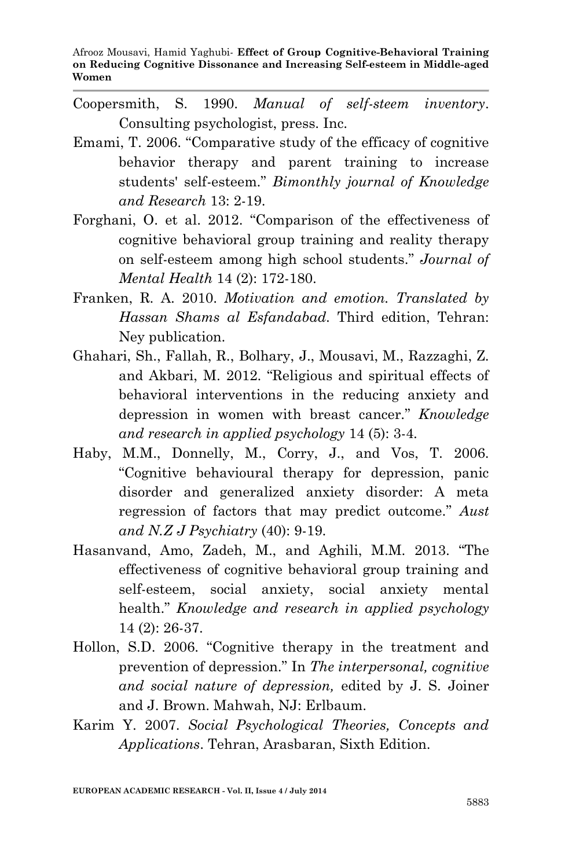- Coopersmith, S. 1990. *Manual of self-steem inventory*. Consulting psychologist, press. Inc.
- Emami, T. 2006. "Comparative study of the efficacy of cognitive behavior therapy and parent training to increase students' self-esteem." *Bimonthly journal of Knowledge and Research* 13: 2-19.
- Forghani, O. et al. 2012. "Comparison of the effectiveness of cognitive behavioral group training and reality therapy on self-esteem among high school students." *Journal of Mental Health* 14 (2): 172-180.
- Franken, R. A. 2010. *Motivation and emotion. Translated by Hassan Shams al Esfandabad*. Third edition, Tehran: Ney publication.
- Ghahari, Sh., Fallah, R., Bolhary, J., Mousavi, M., Razzaghi, Z. and Akbari, M. 2012. "Religious and spiritual effects of behavioral interventions in the reducing anxiety and depression in women with breast cancer." *Knowledge and research in applied psychology* 14 (5): 3-4.
- Haby, M.M., Donnelly, M., Corry, J., and Vos, T. 2006. "Cognitive behavioural therapy for depression, panic disorder and generalized anxiety disorder: A meta regression of factors that may predict outcome." *Aust and N.Z J Psychiatry* (40): 9-19.
- Hasanvand, Amo, Zadeh, M., and Aghili, M.M. 2013. "The effectiveness of cognitive behavioral group training and self-esteem, social anxiety, social anxiety mental health." *Knowledge and research in applied psychology* 14 (2): 26-37.
- Hollon, S.D. 2006. "Cognitive therapy in the treatment and prevention of depression." In *The interpersonal, cognitive and social nature of depression,* edited by J. S. Joiner and J. Brown. Mahwah, NJ: Erlbaum.
- Karim Y. 2007. *Social Psychological Theories, Concepts and Applications*. Tehran, Arasbaran, Sixth Edition.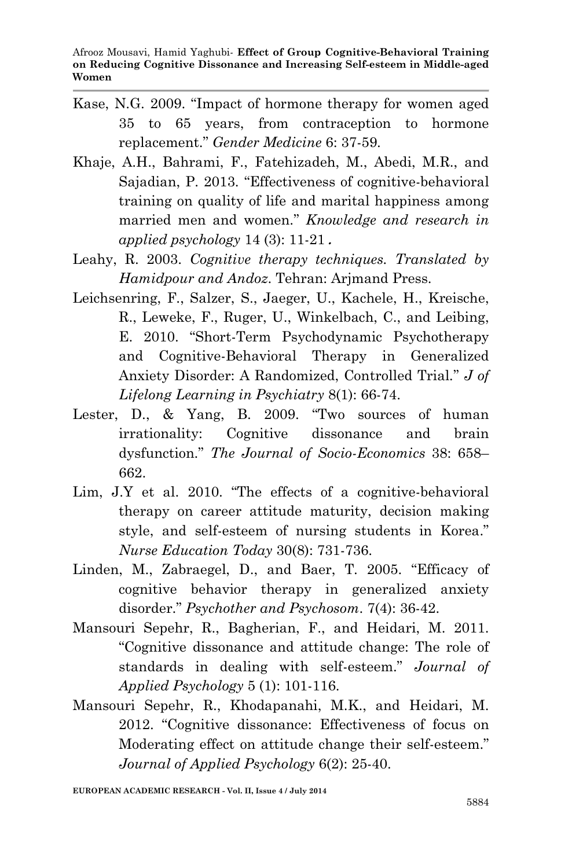- Kase, N.G. 2009. "Impact of hormone therapy for women aged 35 to 65 years, from contraception to hormone replacement." *Gender Medicine* 6: 37-59.
- Khaje, A.H., Bahrami, F., Fatehizadeh, M., Abedi, M.R., and Sajadian, P. 2013. "Effectiveness of cognitive-behavioral training on quality of life and marital happiness among married men and women." *Knowledge and research in applied psychology* 14 (3): 11-21 **.**
- Leahy, R. 2003. *Cognitive therapy techniques. Translated by Hamidpour and Andoz*. Tehran: Arjmand Press.
- Leichsenring, F., Salzer, S., Jaeger, U., Kachele, H., Kreische, R., Leweke, F., Ruger, U., Winkelbach, C., and Leibing, E. 2010. "Short-Term Psychodynamic Psychotherapy and Cognitive-Behavioral Therapy in Generalized Anxiety Disorder: A Randomized, Controlled Trial*.*" *J of Lifelong Learning in Psychiatry* 8(1): 66-74.
- Lester, D., & Yang, B. 2009. "Two sources of human irrationality: Cognitive dissonance and brain dysfunction." *The Journal of Socio-Economics* 38: 658– 662.
- Lim, J.Y et al. 2010. "The effects of a cognitive-behavioral therapy on career attitude maturity, decision making style, and self-esteem of nursing students in Korea." *Nurse Education Today* 30(8): 731-736.
- Linden, M., Zabraegel, D., and Baer, T. 2005. "Efficacy of cognitive behavior therapy in generalized anxiety disorder." *Psychother and Psychosom*. 7(4): 36-42.
- Mansouri Sepehr, R., Bagherian, F., and Heidari, M. 2011. "Cognitive dissonance and attitude change: The role of standards in dealing with self-esteem." *Journal of Applied Psychology* 5 (1): 101-116.
- Mansouri Sepehr, R., Khodapanahi, M.K., and Heidari, M. 2012. "Cognitive dissonance: Effectiveness of focus on Moderating effect on attitude change their self-esteem." *Journal of Applied Psychology* 6(2): 25-40.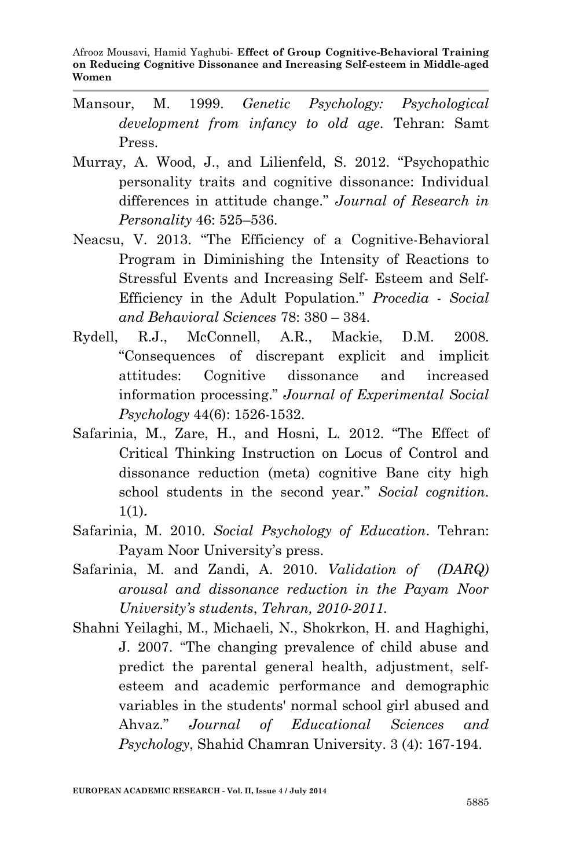- Mansour, M. 1999. *Genetic Psychology: Psychological development from infancy to old age*. Tehran: Samt Press.
- Murray, A. Wood, J., and Lilienfeld, S. 2012. "Psychopathic personality traits and cognitive dissonance: Individual differences in attitude change." *Journal of Research in Personality* 46: 525–536.
- Neacsu, V. 2013. "The Efficiency of a Cognitive-Behavioral Program in Diminishing the Intensity of Reactions to Stressful Events and Increasing Self- Esteem and Self-Efficiency in the Adult Population." *Procedia - Social and Behavioral Sciences* 78: 380 – 384.
- Rydell, R.J., McConnell, A.R., Mackie, D.M. 2008. "Consequences of discrepant explicit and implicit attitudes: Cognitive dissonance and increased information processing." *Journal of Experimental Social Psychology* 44(6): 1526-1532.
- Safarinia, M., Zare, H., and Hosni, L. 2012. "The Effect of Critical Thinking Instruction on Locus of Control and dissonance reduction (meta) cognitive Bane city high school students in the second year." *Social cognition*. 1(1)**.**
- Safarinia, M. 2010. *Social Psychology of Education*. Tehran: Payam Noor University's press.
- Safarinia, M. and Zandi, A. 2010. *Validation of (DARQ) arousal and dissonance reduction in the Payam Noor University's students*, *Tehran, 2010-2011.*
- Shahni Yeilaghi, M., Michaeli, N., Shokrkon, H. and Haghighi, J. 2007. "The changing prevalence of child abuse and predict the parental general health, adjustment, selfesteem and academic performance and demographic variables in the students' normal school girl abused and Ahvaz." *Journal of Educational Sciences and Psychology*, Shahid Chamran University. 3 (4): 167-194.